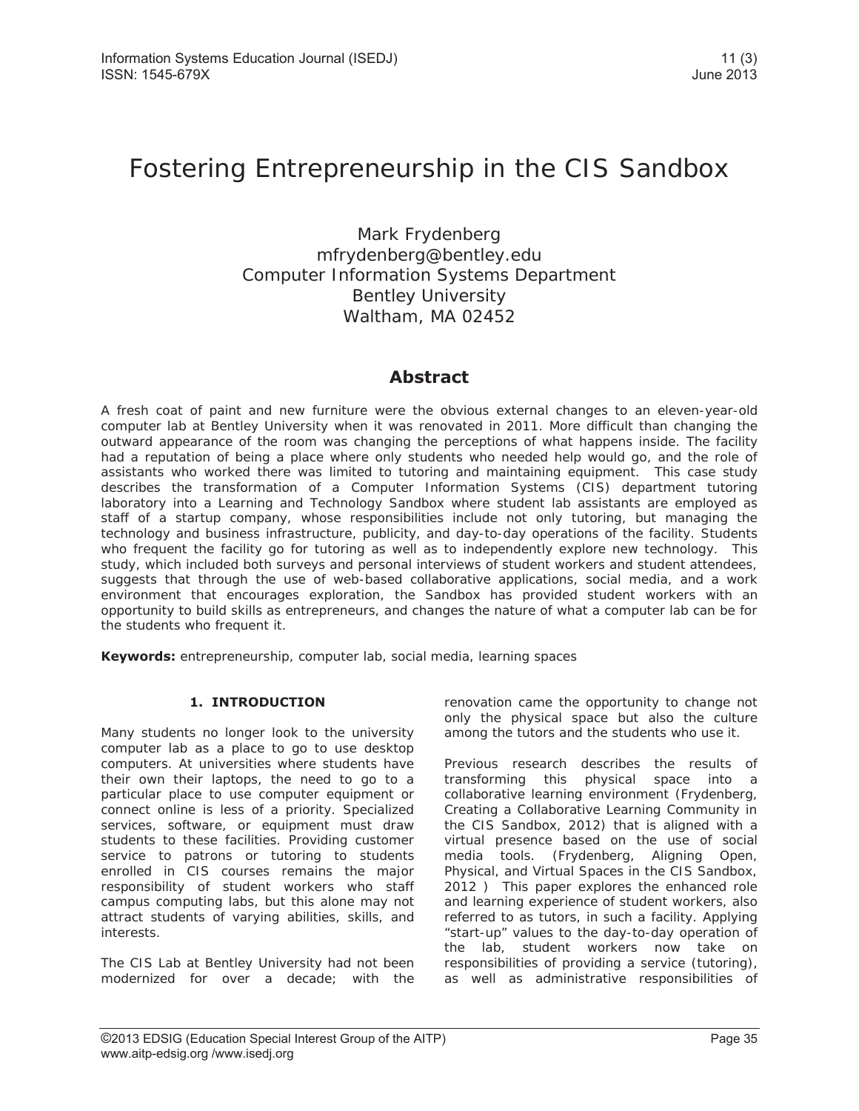# Fostering Entrepreneurship in the CIS Sandbox

Mark Frydenberg mfrydenberg@bentley.edu Computer Information Systems Department Bentley University Waltham, MA 02452

### **Abstract**

A fresh coat of paint and new furniture were the obvious external changes to an eleven-year-old computer lab at Bentley University when it was renovated in 2011. More difficult than changing the outward appearance of the room was changing the perceptions of what happens inside. The facility had a reputation of being a place where only students who needed help would go, and the role of assistants who worked there was limited to tutoring and maintaining equipment. This case study describes the transformation of a Computer Information Systems (CIS) department tutoring laboratory into a Learning and Technology Sandbox where student lab assistants are employed as staff of a startup company, whose responsibilities include not only tutoring, but managing the technology and business infrastructure, publicity, and day-to-day operations of the facility. Students who frequent the facility go for tutoring as well as to independently explore new technology. This study, which included both surveys and personal interviews of student workers and student attendees, suggests that through the use of web-based collaborative applications, social media, and a work environment that encourages exploration, the Sandbox has provided student workers with an opportunity to build skills as entrepreneurs, and changes the nature of what a computer lab can be for the students who frequent it.

**Keywords:** entrepreneurship, computer lab, social media, learning spaces

#### **1. INTRODUCTION**

Many students no longer look to the university computer lab as a place to go to use desktop computers. At universities where students have their own their laptops, the need to go to a particular place to use computer equipment or connect online is less of a priority. Specialized services, software, or equipment must draw students to these facilities. Providing customer service to patrons or tutoring to students enrolled in CIS courses remains the major responsibility of student workers who staff campus computing labs, but this alone may not attract students of varying abilities, skills, and interests.

The CIS Lab at Bentley University had not been modernized for over a decade; with the

renovation came the opportunity to change not only the physical space but also the culture among the tutors and the students who use it.

Previous research describes the results of transforming this physical space into a collaborative learning environment (Frydenberg, Creating a Collaborative Learning Community in the CIS Sandbox, 2012) that is aligned with a virtual presence based on the use of social media tools. (Frydenberg, Aligning Open, Physical, and Virtual Spaces in the CIS Sandbox, 2012 ) This paper explores the enhanced role and learning experience of student workers, also referred to as tutors, in such a facility. Applying "start-up" values to the day-to-day operation of the lab, student workers now take on responsibilities of providing a service (tutoring), as well as administrative responsibilities of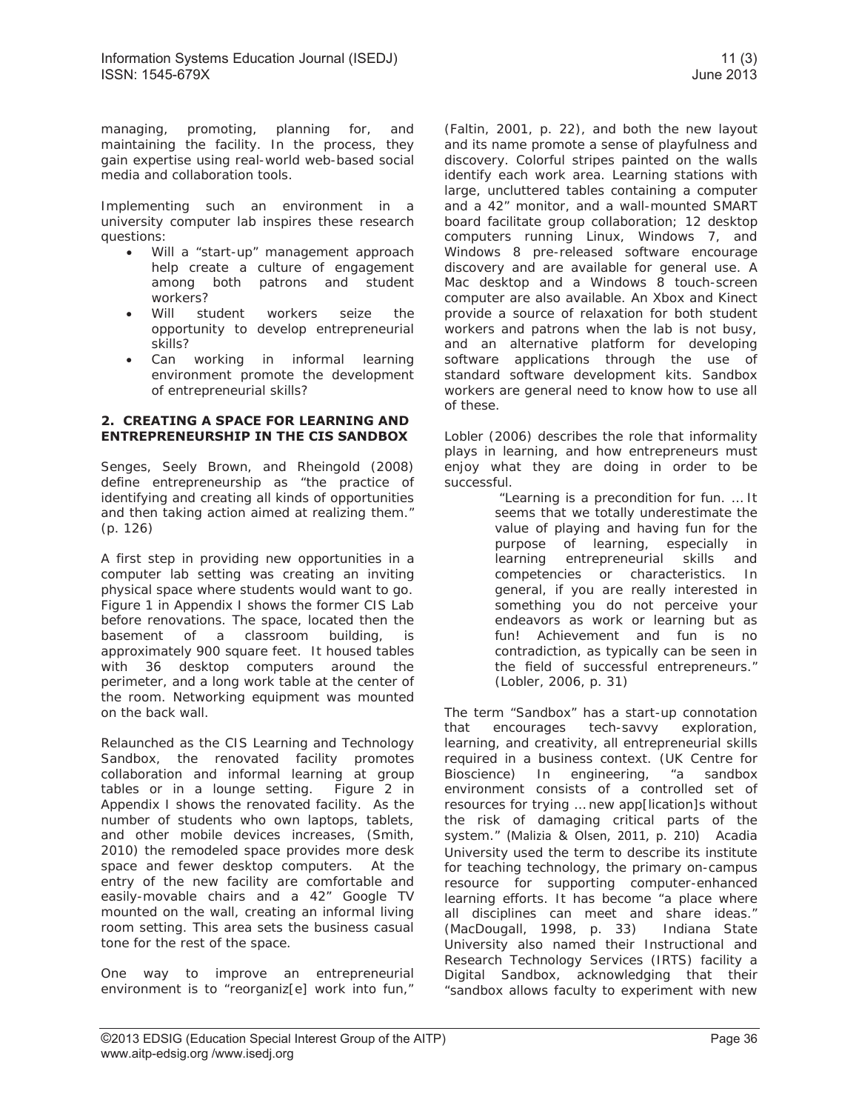managing, promoting, planning for, and maintaining the facility. In the process, they gain expertise using real-world web-based social media and collaboration tools.

Implementing such an environment in a university computer lab inspires these research questions:

- Will a "start-up" management approach help create a culture of engagement among both patrons and student workers?
- Will student workers seize the opportunity to develop entrepreneurial skills?
- Can working in informal learning environment promote the development of entrepreneurial skills?

#### **2. CREATING A SPACE FOR LEARNING AND ENTREPRENEURSHIP IN THE CIS SANDBOX**

Senges, Seely Brown, and Rheingold (2008) define entrepreneurship as "the practice of identifying and creating all kinds of opportunities and then taking action aimed at realizing them." (p. 126)

A first step in providing new opportunities in a computer lab setting was creating an inviting physical space where students would want to go. Figure 1 in Appendix I shows the former CIS Lab before renovations. The space, located then the basement of a classroom building, is approximately 900 square feet. It housed tables with 36 desktop computers around the perimeter, and a long work table at the center of the room. Networking equipment was mounted on the back wall.

Relaunched as the CIS Learning and Technology Sandbox, the renovated facility promotes collaboration and informal learning at group tables or in a lounge setting. Figure 2 in Appendix I shows the renovated facility. As the number of students who own laptops, tablets, and other mobile devices increases, (Smith, 2010) the remodeled space provides more desk space and fewer desktop computers. At the entry of the new facility are comfortable and easily-movable chairs and a 42" Google TV mounted on the wall, creating an informal living room setting. This area sets the business casual tone for the rest of the space.

One way to improve an entrepreneurial environment is to "reorganiz[e] work into fun,"

(Faltin, 2001, p. 22), and both the new layout and its name promote a sense of playfulness and discovery. Colorful stripes painted on the walls identify each work area. Learning stations with large, uncluttered tables containing a computer and a 42" monitor, and a wall-mounted SMART board facilitate group collaboration; 12 desktop computers running Linux, Windows 7, and Windows 8 pre-released software encourage discovery and are available for general use. A Mac desktop and a Windows 8 touch-screen computer are also available. An Xbox and Kinect provide a source of relaxation for both student workers and patrons when the lab is not busy, and an alternative platform for developing software applications through the use of standard software development kits. Sandbox workers are general need to know how to use all of these.

Lobler (2006) describes the role that informality plays in learning, and how entrepreneurs must enjoy what they are doing in order to be successful.

 "Learning is a precondition for fun. … It seems that we totally underestimate the value of playing and having fun for the purpose of learning, especially in learning entrepreneurial skills and competencies or characteristics. In general, if you are really interested in something you do not perceive your endeavors as work or learning but as fun! Achievement and fun is no contradiction, as typically can be seen in the field of successful entrepreneurs." (Lobler, 2006, p. 31)

The term "Sandbox" has a start-up connotation that encourages tech-savvy exploration, learning, and creativity, all entrepreneurial skills required in a business context. (UK Centre for Bioscience) In engineering, "a sandbox environment consists of a controlled set of resources for trying … new app[lication]s without the risk of damaging critical parts of the system." (Malizia & Olsen, 2011, p. 210) Acadia University used the term to describe its institute for teaching technology, the primary on-campus resource for supporting computer-enhanced learning efforts. It has become "a place where all disciplines can meet and share ideas." (MacDougall, 1998, p. 33) Indiana State University also named their Instructional and Research Technology Services (IRTS) facility a Digital Sandbox, acknowledging that their "sandbox allows faculty to experiment with new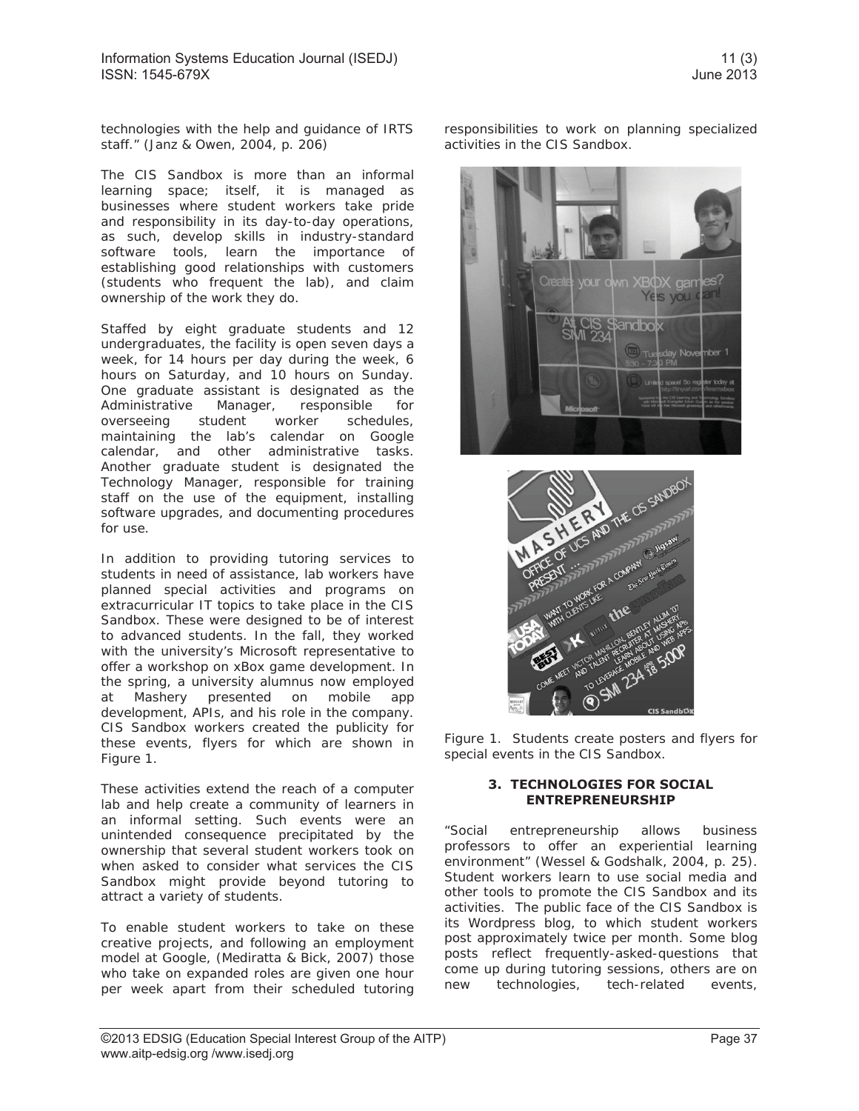technologies with the help and guidance of IRTS staff." (Janz & Owen, 2004, p. 206)

The CIS Sandbox is more than an informal learning space; itself, it is managed as businesses where student workers take pride and responsibility in its day-to-day operations, as such, develop skills in industry-standard software tools, learn the importance of establishing good relationships with customers (students who frequent the lab), and claim ownership of the work they do.

Staffed by eight graduate students and 12 undergraduates, the facility is open seven days a week, for 14 hours per day during the week, 6 hours on Saturday, and 10 hours on Sunday. One graduate assistant is designated as the Administrative Manager, responsible for overseeing student worker schedules, maintaining the lab's calendar on Google calendar, and other administrative tasks. Another graduate student is designated the Technology Manager, responsible for training staff on the use of the equipment, installing software upgrades, and documenting procedures for use.

In addition to providing tutoring services to students in need of assistance, lab workers have planned special activities and programs on extracurricular IT topics to take place in the CIS Sandbox. These were designed to be of interest to advanced students. In the fall, they worked with the university's Microsoft representative to offer a workshop on xBox game development. In the spring, a university alumnus now employed at Mashery presented on mobile app development, APIs, and his role in the company. CIS Sandbox workers created the publicity for these events, flyers for which are shown in Figure 1.

These activities extend the reach of a computer lab and help create a community of learners in an informal setting. Such events were an unintended consequence precipitated by the ownership that several student workers took on when asked to consider what services the CIS Sandbox might provide beyond tutoring to attract a variety of students.

To enable student workers to take on these creative projects, and following an employment model at Google, (Mediratta & Bick, 2007) those who take on expanded roles are given one hour per week apart from their scheduled tutoring responsibilities to work on planning specialized activities in the CIS Sandbox.





Figure 1. Students create posters and flyers for special events in the CIS Sandbox.

#### **3. TECHNOLOGIES FOR SOCIAL ENTREPRENEURSHIP**

"Social entrepreneurship allows business professors to offer an experiential learning environment" (Wessel & Godshalk, 2004, p. 25). Student workers learn to use social media and other tools to promote the CIS Sandbox and its activities. The public face of the CIS Sandbox is its Wordpress blog, to which student workers post approximately twice per month. Some blog posts reflect frequently-asked-questions that come up during tutoring sessions, others are on new technologies, tech-related events,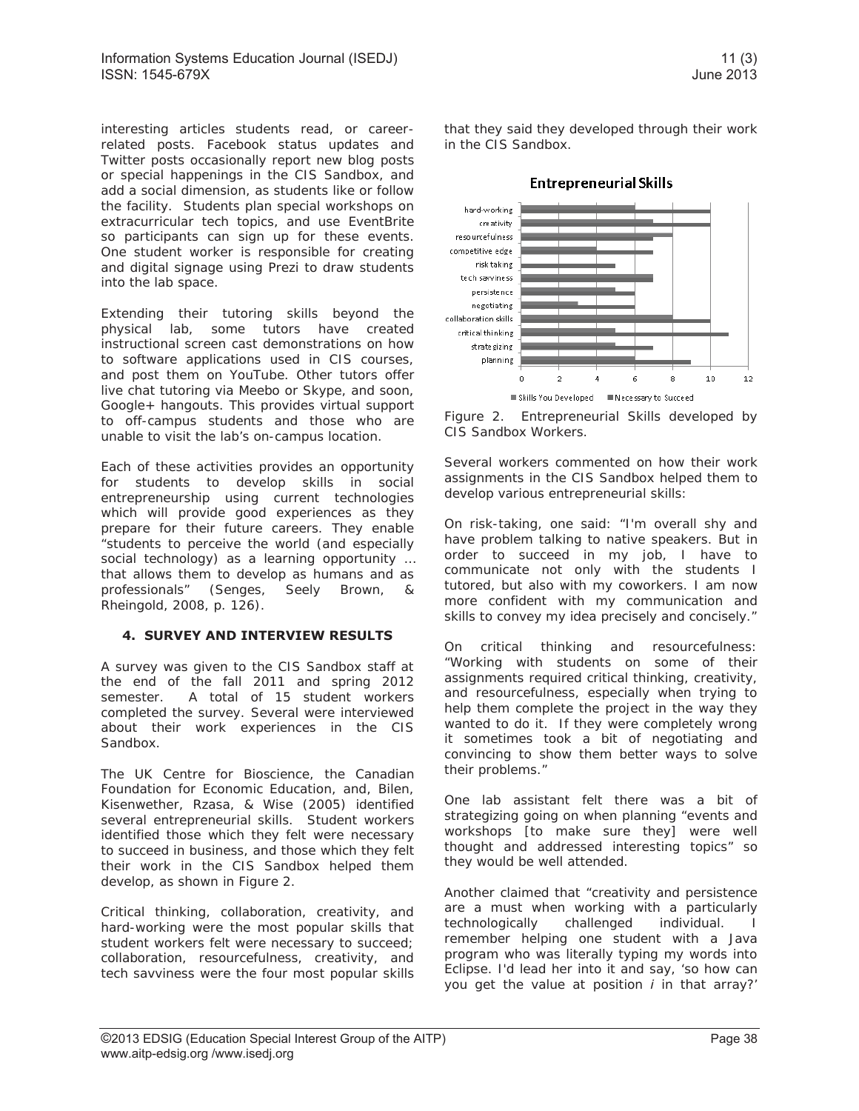interesting articles students read, or careerrelated posts. Facebook status updates and Twitter posts occasionally report new blog posts or special happenings in the CIS Sandbox, and add a social dimension, as students like or follow the facility. Students plan special workshops on extracurricular tech topics, and use EventBrite so participants can sign up for these events. One student worker is responsible for creating and digital signage using Prezi to draw students into the lab space.

Extending their tutoring skills beyond the physical lab, some tutors have created instructional screen cast demonstrations on how to software applications used in CIS courses, and post them on YouTube. Other tutors offer live chat tutoring via Meebo or Skype, and soon, Google+ hangouts. This provides virtual support to off-campus students and those who are unable to visit the lab's on-campus location.

Each of these activities provides an opportunity for students to develop skills in social entrepreneurship using current technologies which will provide good experiences as they prepare for their future careers. They enable "students to perceive the world (and especially social technology) as a learning opportunity ... that allows them to develop as humans and as professionals" (Senges, Seely Brown, & Rheingold, 2008, p. 126).

#### **4. SURVEY AND INTERVIEW RESULTS**

A survey was given to the CIS Sandbox staff at the end of the fall 2011 and spring 2012 semester. A total of 15 student workers completed the survey. Several were interviewed about their work experiences in the CIS Sandbox.

The UK Centre for Bioscience, the Canadian Foundation for Economic Education, and, Bilen, Kisenwether, Rzasa, & Wise (2005) identified several entrepreneurial skills. Student workers identified those which they felt were necessary to succeed in business, and those which they felt their work in the CIS Sandbox helped them develop, as shown in Figure 2.

Critical thinking, collaboration, creativity, and hard-working were the most popular skills that student workers felt were necessary to succeed; collaboration, resourcefulness, creativity, and tech savviness were the four most popular skills

that they said they developed through their work in the CIS Sandbox.



Figure 2. Entrepreneurial Skills developed by CIS Sandbox Workers.

Several workers commented on how their work assignments in the CIS Sandbox helped them to develop various entrepreneurial skills:

On risk-taking, one said: "I'm overall shy and have problem talking to native speakers. But in order to succeed in my job, I have to communicate not only with the students I tutored, but also with my coworkers. I am now more confident with my communication and skills to convey my idea precisely and concisely."

On critical thinking and resourcefulness: "Working with students on some of their assignments required critical thinking, creativity, and resourcefulness, especially when trying to help them complete the project in the way they wanted to do it. If they were completely wrong it sometimes took a bit of negotiating and convincing to show them better ways to solve their problems."

One lab assistant felt there was a bit of strategizing going on when planning "events and workshops [to make sure they] were well thought and addressed interesting topics" so they would be well attended.

Another claimed that "creativity and persistence are a must when working with a particularly technologically challenged individual. I remember helping one student with a Java program who was literally typing my words into Eclipse. I'd lead her into it and say, 'so how can you get the value at position *i* in that array?'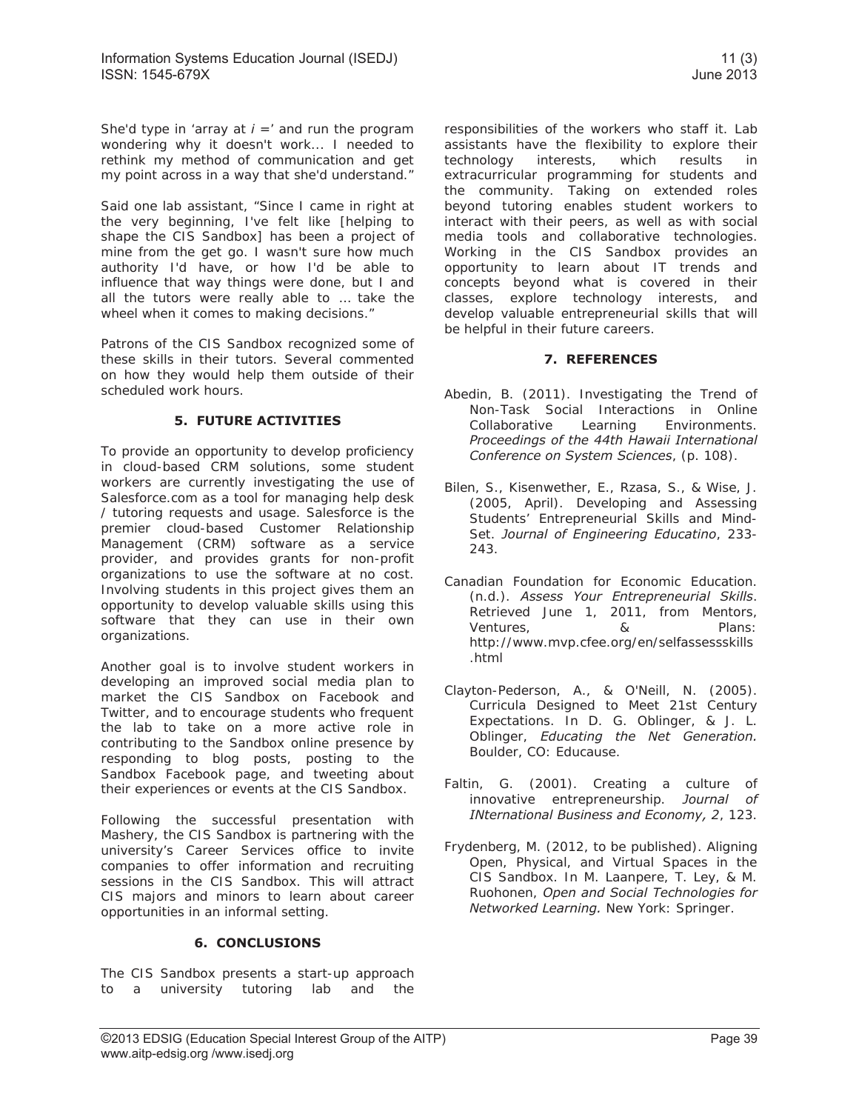She'd type in 'array at  $i =$ ' and run the program wondering why it doesn't work... I needed to rethink my method of communication and get my point across in a way that she'd understand."

Said one lab assistant, "Since I came in right at the very beginning, I've felt like [helping to shape the CIS Sandbox] has been a project of mine from the get go. I wasn't sure how much authority I'd have, or how I'd be able to influence that way things were done, but I and all the tutors were really able to … take the wheel when it comes to making decisions."

Patrons of the CIS Sandbox recognized some of these skills in their tutors. Several commented on how they would help them outside of their scheduled work hours.

#### **5. FUTURE ACTIVITIES**

To provide an opportunity to develop proficiency in cloud-based CRM solutions, some student workers are currently investigating the use of Salesforce.com as a tool for managing help desk / tutoring requests and usage. Salesforce is the premier cloud-based Customer Relationship Management (CRM) software as a service provider, and provides grants for non-profit organizations to use the software at no cost. Involving students in this project gives them an opportunity to develop valuable skills using this software that they can use in their own organizations.

Another goal is to involve student workers in developing an improved social media plan to market the CIS Sandbox on Facebook and Twitter, and to encourage students who frequent the lab to take on a more active role in contributing to the Sandbox online presence by responding to blog posts, posting to the Sandbox Facebook page, and tweeting about their experiences or events at the CIS Sandbox.

Following the successful presentation with Mashery, the CIS Sandbox is partnering with the university's Career Services office to invite companies to offer information and recruiting sessions in the CIS Sandbox. This will attract CIS majors and minors to learn about career opportunities in an informal setting.

#### **6. CONCLUSIONS**

The CIS Sandbox presents a start-up approach to a university tutoring lab and the responsibilities of the workers who staff it. Lab assistants have the flexibility to explore their technology interests, which results in extracurricular programming for students and the community. Taking on extended roles beyond tutoring enables student workers to interact with their peers, as well as with social media tools and collaborative technologies. Working in the CIS Sandbox provides an opportunity to learn about IT trends and concepts beyond what is covered in their classes, explore technology interests, and develop valuable entrepreneurial skills that will be helpful in their future careers.

#### **7. REFERENCES**

- Abedin, B. (2011). Investigating the Trend of Non-Task Social Interactions in Online Collaborative Learning Environments. *Proceedings of the 44th Hawaii International Conference on System Sciences*, (p. 108).
- Bilen, S., Kisenwether, E., Rzasa, S., & Wise, J. (2005, April). Developing and Assessing Students' Entrepreneurial Skills and Mind-Set. *Journal of Engineering Educatino*, 233- 243.
- Canadian Foundation for Economic Education. (n.d.). *Assess Your Entrepreneurial Skills*. Retrieved June 1, 2011, from Mentors, Ventures, & Plans: http://www.mvp.cfee.org/en/selfassessskills .html
- Clayton-Pederson, A., & O'Neill, N. (2005). Curricula Designed to Meet 21st Century Expectations. In D. G. Oblinger, & J. L. Oblinger, *Educating the Net Generation.* Boulder, CO: Educause.
- Faltin, G. (2001). Creating a culture of innovative entrepreneurship. *Journal of INternational Business and Economy, 2*, 123.
- Frydenberg, M. (2012, to be published). Aligning Open, Physical, and Virtual Spaces in the CIS Sandbox. In M. Laanpere, T. Ley, & M. Ruohonen, *Open and Social Technologies for Networked Learning.* New York: Springer.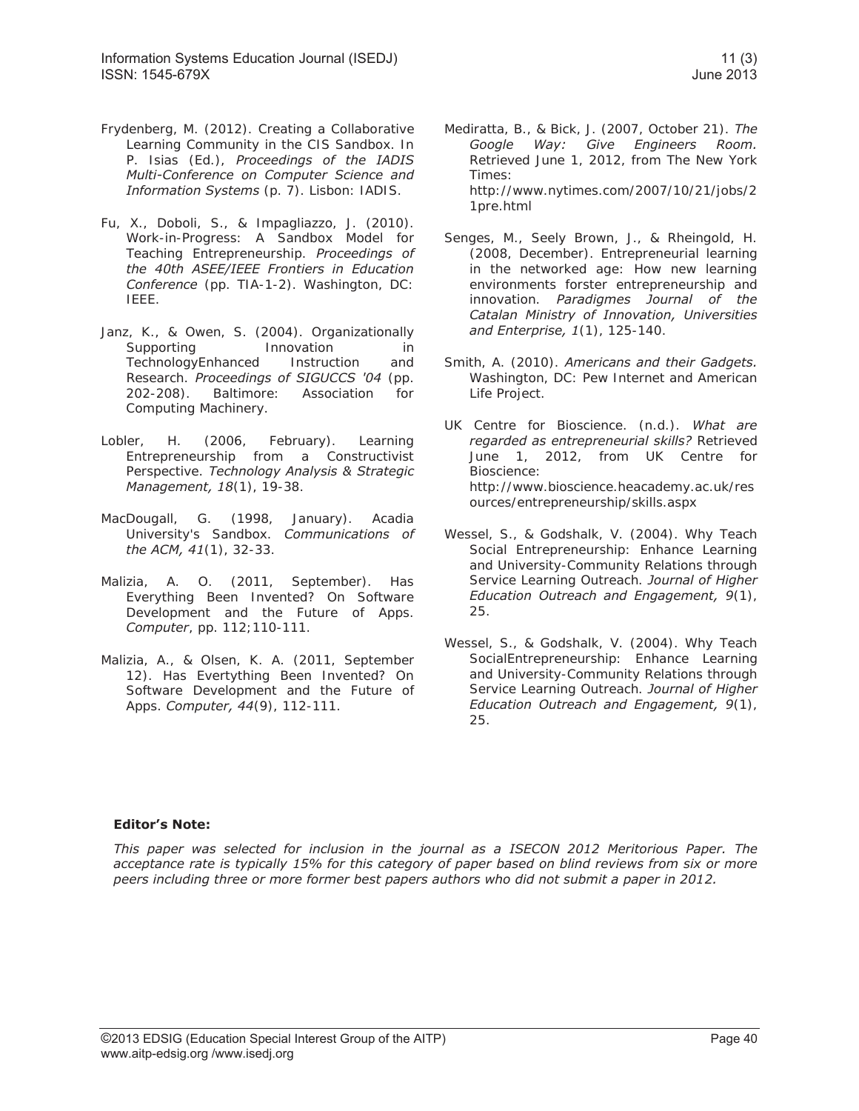- Frydenberg, M. (2012). Creating a Collaborative Learning Community in the CIS Sandbox. In P. Isias (Ed.), *Proceedings of the IADIS Multi-Conference on Computer Science and Information Systems* (p. 7). Lisbon: IADIS.
- Fu, X., Doboli, S., & Impagliazzo, J. (2010). Work-in-Progress: A Sandbox Model for Teaching Entrepreneurship. *Proceedings of the 40th ASEE/IEEE Frontiers in Education Conference* (pp. TIA-1-2). Washington, DC: IEEE.
- Janz, K., & Owen, S. (2004). Organizationally Supporting Innovation in TechnologyEnhanced Instruction and Research. *Proceedings of SIGUCCS '04* (pp. 202-208). Baltimore: Association for Computing Machinery.
- Lobler, H. (2006, February). Learning Entrepreneurship from a Constructivist Perspective. *Technology Analysis & Strategic Management, 18*(1), 19-38.
- MacDougall, G. (1998, January). Acadia University's Sandbox. *Communications of the ACM, 41*(1), 32-33.
- Malizia, A. O. (2011, September). Has Everything Been Invented? On Software Development and the Future of Apps. *Computer*, pp. 112;110-111.
- Malizia, A., & Olsen, K. A. (2011, September 12). Has Evertything Been Invented? On Software Development and the Future of Apps. *Computer, 44*(9), 112-111.
- Mediratta, B., & Bick, J. (2007, October 21). *The Google Way: Give Engineers Room.* Retrieved June 1, 2012, from The New York Times: http://www.nytimes.com/2007/10/21/jobs/2 1pre.html
- Senges, M., Seely Brown, J., & Rheingold, H. (2008, December). Entrepreneurial learning in the networked age: How new learning environments forster entrepreneurship and innovation. *Paradigmes Journal of the Catalan Ministry of Innovation, Universities and Enterprise, 1*(1), 125-140.
- Smith, A. (2010). *Americans and their Gadgets.* Washington, DC: Pew Internet and American Life Project.
- UK Centre for Bioscience. (n.d.). *What are regarded as entrepreneurial skills?* Retrieved June 1, 2012, from UK Centre for Bioscience: http://www.bioscience.heacademy.ac.uk/res ources/entrepreneurship/skills.aspx
- Wessel, S., & Godshalk, V. (2004). Why Teach Social Entrepreneurship: Enhance Learning and University-Community Relations through Service Learning Outreach. *Journal of Higher Education Outreach and Engagement, 9*(1), 25.
- Wessel, S., & Godshalk, V. (2004). Why Teach SocialEntrepreneurship: Enhance Learning and University-Community Relations through Service Learning Outreach. *Journal of Higher Education Outreach and Engagement, 9*(1), 25.

#### **Editor's Note:**

*This paper was selected for inclusion in the journal as a ISECON 2012 Meritorious Paper. The acceptance rate is typically 15% for this category of paper based on blind reviews from six or more peers including three or more former best papers authors who did not submit a paper in 2012.*